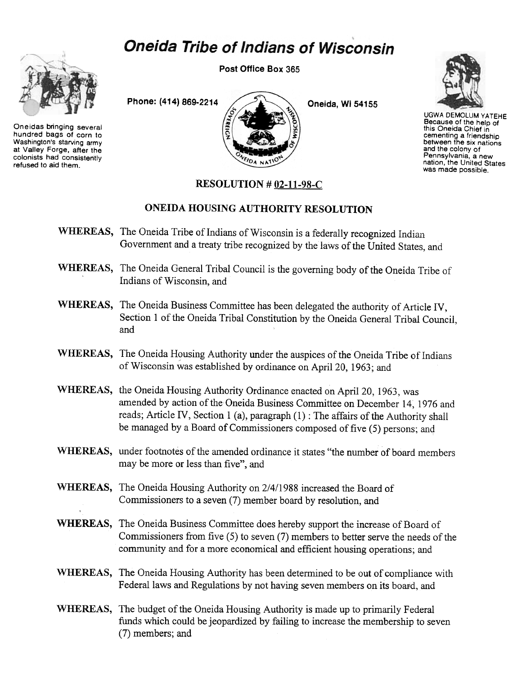## **Oneida Tribe of Indians of Wisconsin**



Oneidas bringing several hundred bags of corn to Washington's starving army at Valley Forge, after the colonists had consistently refused to aid them.

Post Office Box 365





UGWA DEMOlUM YATEHE Because of the help of this Oneida Chief in cementing a friendship between the six nations and the colony of Pennsylvania, a new nation, the United States was made possible.

## RESOLUTION # 02-11-98-C

## ONEIDA HOUSING AUTHORITY RESOLUTION

- WHEREAS, The Oneida Tribe of Indians of Wisconsin is a federally recognized Indian Government and a treaty tribe recognized by the laws of the United States, and
- WHEREAS, The Oneida General Tribal Council is the governing body of the Oneida Tribe of Indians of Wisconsin, and
- WHEREAS, The Oneida Business Committee has been delegated the authority of Article IV, Section 1 of the Oneida Tribal Constitution by the Oneida General Tribal Council, and
- WHEREAS, The Oneida Housing Authority under the auspices of the Oneida Tribe of Indians of Wisconsin was established by ordinance on April 20, 1963; and
- WHEREAS, the Oneida Housing Authority Ordinance enacted on April 20, 1963, was amended by action of the Oneida Business Committee on December 14, 1976 and reads; Article IV, Section 1 (a), paragraph (1) : The affairs of the Authority shall be managed by a Board of Commissioners composed of five (5) persons; and
- WHEREAS, under footnotes of the amended ordinance it states "the number of board members may be more or less than five", and
- WHEREAS, The Oneida Housing Authority on 2/4/1988 increased the Board of Commissioners to a seven (7) member board by resolution, and
- WHEREAS, The Oneida Business Committee does hereby support the increase of Board of Commissioners from five (5) to seven (7) members to better serve the needs of the community and for a more economical and efficient housing operations; and
- WHEREAS, The Oneida Housing Authority has been determined to be out of compliance with Federal laws and Regulations by not having seven members on its board, and
- WHEREAS, The budget of the Oneida Housing Authority is made up to primarily Federal funds which could be jeopardized by failing to increase the membership to seven (7) members; and